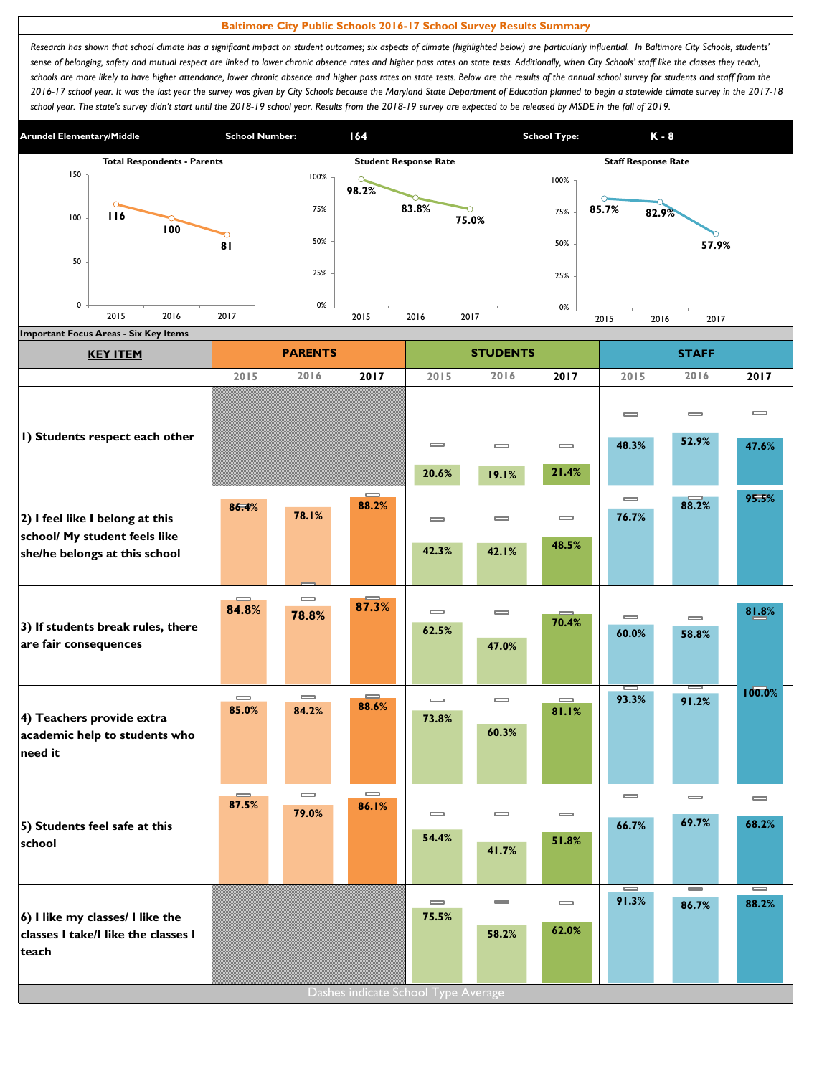## **Baltimore City Public Schools 2016-17 School Survey Results Summary**

Research has shown that school climate has a significant impact on student outcomes; six aspects of climate (highlighted below) are particularly influential. In Baltimore City Schools, students' sense of belonging, safety and mutual respect are linked to lower chronic absence rates and higher pass rates on state tests. Additionally, when City Schools' staff like the classes they teach, schools are more likely to have higher attendance, lower chronic absence and higher pass rates on state tests. Below are the results of the annual school survey for students and staff from the *2016-17 school year. It was the last year the survey was given by City Schools because the Maryland State Department of Education planned to begin a statewide climate survey in the 2017-18*  school year. The state's survey didn't start until the 2018-19 school year. Results from the 2018-19 survey are expected to be released by MSDE in the fall of 2019.



| 2015                                  | 2016                                  | 2017                                  | 2015                         | 2016                                         | 2017                                                                | 2015                                                    | 2016                         | 2017       |
|---------------------------------------|---------------------------------------|---------------------------------------|------------------------------|----------------------------------------------|---------------------------------------------------------------------|---------------------------------------------------------|------------------------------|------------|
|                                       |                                       |                                       |                              |                                              |                                                                     |                                                         |                              |            |
|                                       |                                       |                                       |                              |                                              |                                                                     | $\qquad \qquad \blacksquare$                            | $\equiv$<br>52.9%            | $\equiv$   |
|                                       |                                       |                                       | $\equiv$                     | $\equiv$                                     | $\qquad \qquad \blacksquare$                                        | 48.3%                                                   |                              | 47.6%      |
|                                       |                                       |                                       | 20.6%                        | 19.1%                                        |                                                                     |                                                         |                              |            |
| 86.4%                                 | 78.1%                                 | 88.2%                                 | $\equiv$                     | $\equiv$                                     | $\equiv$                                                            | $\qquad \qquad \blacksquare$<br>76.7%                   | 88.2%                        | 95.5%      |
|                                       |                                       |                                       | 42.3%                        | 42.1%                                        | 48.5%                                                               |                                                         |                              |            |
| $\equiv$<br>84.8%                     | $\qquad \qquad \blacksquare$<br>78.8% | 87.3%                                 | $\qquad \qquad \blacksquare$ | $\equiv$                                     |                                                                     | $\qquad \qquad \blacksquare$                            | $\equiv$                     | 81.8%      |
|                                       |                                       |                                       |                              | 47.0%                                        |                                                                     | 60.0%                                                   | 58.8%                        |            |
| $\qquad \qquad \blacksquare$<br>85.0% | $\qquad \qquad \blacksquare$<br>84.2% | $\equiv$<br>88.6%                     | $\qquad \qquad \blacksquare$ | $\equiv$                                     | $\qquad \qquad \blacksquare$<br>81.1%                               | I<br>93.3%                                              | $=$<br>91.2%                 | 100.0%     |
|                                       |                                       |                                       |                              | 60.3%                                        |                                                                     |                                                         |                              |            |
|                                       |                                       |                                       |                              |                                              |                                                                     |                                                         |                              |            |
| $\equiv$<br>87.5%                     | $\equiv$                              | $\qquad \qquad \blacksquare$<br>86.1% |                              |                                              |                                                                     | $\qquad \qquad \blacksquare$                            | $\qquad \qquad \blacksquare$ | $\equiv$   |
|                                       |                                       |                                       |                              |                                              |                                                                     | 66.7%                                                   | 69.7%                        | 68.2%      |
|                                       |                                       |                                       |                              | 41.7%                                        |                                                                     |                                                         |                              |            |
|                                       |                                       |                                       |                              |                                              |                                                                     |                                                         |                              |            |
|                                       |                                       |                                       | $\qquad \qquad \blacksquare$ | $\qquad \qquad \blacksquare$                 | $\qquad \qquad \blacksquare$                                        | $\equiv$<br>91.3%                                       | $=$<br>86.7%                 | I<br>88.2% |
|                                       |                                       |                                       |                              | 58.2%                                        | 62.0%                                                               |                                                         |                              |            |
|                                       |                                       |                                       |                              |                                              |                                                                     |                                                         |                              |            |
|                                       |                                       | 79.0%                                 |                              | 62.5%<br>73.8%<br>$\equiv$<br>54.4%<br>75.5% | $\qquad \qquad \blacksquare$<br>Dashes indicate School Type Average | 21.4%<br>70.4%<br>$\qquad \qquad \blacksquare$<br>51.8% |                              |            |